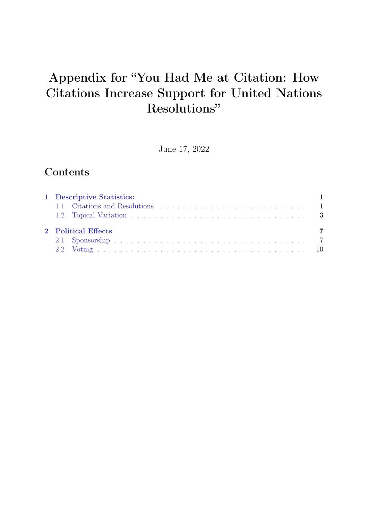# Appendix for "You Had Me at Citation: How Citations Increase Support for United Nations Resolutions"

June 17, 2022

# Contents

| 1 Descriptive Statistics: |  |
|---------------------------|--|
| 2 Political Effects       |  |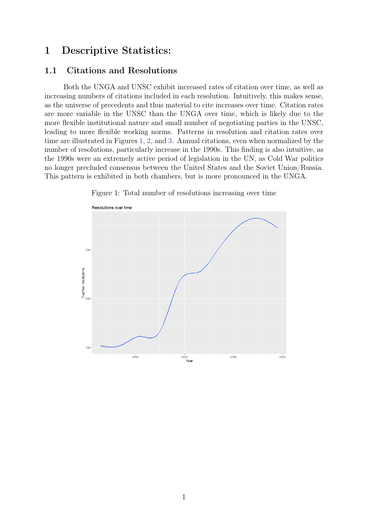## <span id="page-1-0"></span>1 Descriptive Statistics:

#### <span id="page-1-1"></span>1.1 Citations and Resolutions

Both the UNGA and UNSC exhibit increased rates of citation over time, as well as increasing numbers of citations included in each resolution. Intuitively, this makes sense, as the universe of precedents and thus material to cite increases over time. Citation rates are more variable in the UNSC than the UNGA over time, which is likely due to the more flexible institutional nature and small number of negotiating parties in the UNSC, leading to more flexible working norms. Patterns in resolution and citation rates over time are illustrated in Figures [1,](#page-1-2) [2,](#page-2-0) and [3.](#page-2-1) Annual citations, even when normalized by the number of resolutions, particularly increase in the 1990s. This finding is also intuitive, as the 1990s were an extremely active period of legislation in the UN, as Cold War politics no longer precluded consensus between the United States and the Soviet Union/Russia. This pattern is exhibited in both chambers, but is more pronounced in the UNGA.

<span id="page-1-2"></span>

Figure 1: Total number of resolutions increasing over time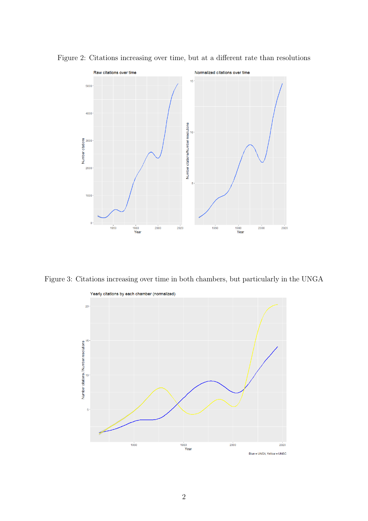

<span id="page-2-0"></span>Figure 2: Citations increasing over time, but at a different rate than resolutions

<span id="page-2-1"></span>Figure 3: Citations increasing over time in both chambers, but particularly in the UNGA

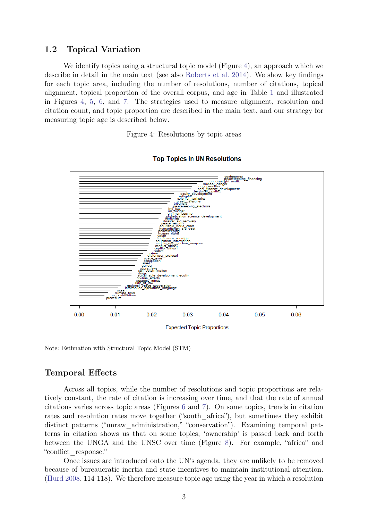#### <span id="page-3-0"></span>1.2 Topical Variation

We identify topics using a structural topic model (Figure [4\)](#page-3-1), an approach which we describe in detail in the main text (see also [Roberts et al.](#page-12-0) [2014\)](#page-12-0). We show key findings for each topic area, including the number of resolutions, number of citations, topical alignment, topical proportion of the overall corpus, and age in Table [1](#page-4-0) and illustrated in Figures [4,](#page-3-1) [5,](#page-5-0) [6,](#page-6-0) and [7.](#page-6-1) The strategies used to measure alignment, resolution and citation count, and topic proportion are described in the main text, and our strategy for measuring topic age is described below.

Figure 4: Resolutions by topic areas

<span id="page-3-1"></span>

#### **Top Topics in UN Resolutions**

Note: Estimation with Structural Topic Model (STM)

#### Temporal Effects

Across all topics, while the number of resolutions and topic proportions are relatively constant, the rate of citation is increasing over time, and that the rate of annual citations varies across topic areas (Figures [6](#page-6-0) and [7\)](#page-6-1). On some topics, trends in citation rates and resolution rates move together ("south africa"), but sometimes they exhibit distinct patterns ("unraw administration," "conservation"). Examining temporal patterns in citation shows us that on some topics, 'ownership' is passed back and forth between the UNGA and the UNSC over time (Figure [8\)](#page-7-2). For example, "africa" and "conflict\_response."

Once issues are introduced onto the UN's agenda, they are unlikely to be removed because of bureaucratic inertia and state incentives to maintain institutional attention. [\(Hurd](#page-12-1) [2008,](#page-12-1) 114-118). We therefore measure topic age using the year in which a resolution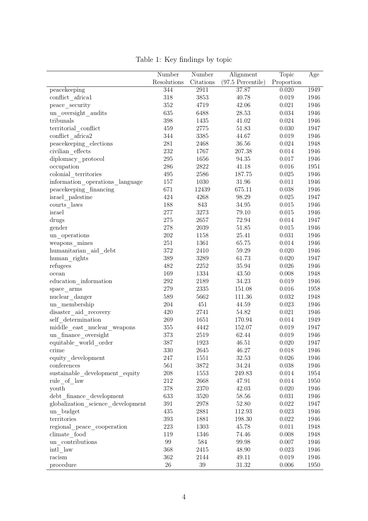<span id="page-4-0"></span>

|                                   | Number      | Number    | Alignment           | Topic      | Age  |
|-----------------------------------|-------------|-----------|---------------------|------------|------|
|                                   | Resolutions | Citations | $(97.5$ Percentile) | Proportion |      |
| peacekeeping                      | 344         | 2911      | 37.87               | 0.020      | 1949 |
| conflict africal                  | 318         | 3853      | 40.78               | 0.019      | 1946 |
| peace security                    | $352\,$     | 4719      | 42.06               | 0.021      | 1946 |
| un_oversight_audits               | 635         | 6488      | 28.53               | 0.034      | 1946 |
| tribunals                         | $398\,$     | 1435      | 41.02               | 0.024      | 1946 |
| territorial conflict              | 459         | 2775      | 51.83               | 0.030      | 1947 |
| conflict africa2                  | 344         | 3385      | 44.67               | 0.019      | 1946 |
| peacekeeping elections            | 281         | 2468      | 36.56               | 0.024      | 1948 |
| civilian effects                  | 232         | 1767      | 207.38              | 0.014      | 1946 |
| diplomacy_protocol                | $\,295$     | 1656      | 94.35               | 0.017      | 1946 |
| occupation                        | 286         | 2822      | 41.18               | 0.016      | 1951 |
| colonial territories              | 495         | 2586      | 187.75              | 0.025      | 1946 |
| information_operations_language   | 157         | 1030      | 31.96               | 0.011      | 1946 |
| peacekeeping financing            | 671         | 12439     | 675.11              | 0.038      | 1946 |
| israel palestine                  | 424         | 4268      | 98.29               | 0.025      | 1947 |
| courts laws                       | 188         | 843       | 34.95               | 0.015      | 1946 |
| israel                            | $277\,$     | 3273      | 79.10               | 0.015      | 1946 |
| drugs                             | $275\,$     | 2657      | 72.94               | 0.014      | 1947 |
| gender                            | $278\,$     | 2039      | $51.85\,$           | 0.015      | 1946 |
| un_operations                     | 202         | 1158      | 25.41               | 0.031      | 1946 |
| weapons mines                     | 251         | 1361      | 65.75               | 0.014      | 1946 |
| humanitarian_aid_debt             | $372\,$     | 2410      | 59.29               | 0.020      | 1946 |
| $human\_rights$                   | 389         | 3289      | 61.73               | 0.020      | 1947 |
| refugees                          | 482         | 2252      | 35.94               | 0.026      | 1946 |
| ocean                             | 169         | 1334      | 43.50               | 0.008      | 1948 |
| education information             | $\,292$     | 2189      | 34.23               | 0.019      | 1946 |
| $space\_arms$                     | 279         | 2335      | 151.08              | 0.016      | 1958 |
| nuclear danger                    | 589         | 5662      | 111.36              | 0.032      | 1948 |
| un membership                     | 204         | 451       | 44.59               | 0.023      | 1946 |
| disaster aid recovery             | 420         | 2741      | 54.82               | 0.021      | 1946 |
| self determination                | 269         | 1651      | 170.94              | 0.014      | 1949 |
| middle_east_nuclear_weapons       | 355         | 4442      | 152.07              | 0.019      | 1947 |
| un finance oversight              | 373         | 2519      | 62.44               | 0.019      | 1946 |
| equitable world order             | 387         | 1923      | 46.51               | 0.020      | 1947 |
| crime                             | 330         | 2645      | 46.27               | 0.018      | 1946 |
| equity development                | 247         | 1551      | $32.53\,$           | 0.026      | 1946 |
| conferences                       | 561         | 3872      | 34.24               | 0.038      | 1946 |
| sustainable development equity    | 208         | 1553      | 249.83              | 0.014      | 1954 |
| rule of law                       | $212\,$     | 2668      | 47.91               | 0.014      | 1950 |
| youth                             | $378\,$     | 2370      | 42.03               | 0.020      | 1946 |
| debt finance development          | $633\,$     | 3520      | 58.56               | 0.031      | 1946 |
| globalization science development | 391         | 2978      | 52.80               | 0.022      | 1947 |
| un_budget                         | 435         | 2881      | 112.93              | 0.023      | 1946 |
| territories                       | $393\,$     | 1881      | 198.30              | 0.022      | 1946 |
| regional peace cooperation        | $223\,$     | 1303      | 45.78               | 0.011      | 1948 |
| climate food                      | 119         | 1346      | 74.46               | 0.008      | 1948 |
| un contributions                  | 99          | 584       | 99.98               | 0.007      | 1946 |
| intl law                          | 368         | 2415      | 48.90               | 0.023      | 1946 |
| racism                            | 362         | 2144      | 49.11               | 0.019      | 1946 |
|                                   |             |           |                     |            |      |

Table 1: Key findings by topic

procedure 26 39 31.32 0.006 1950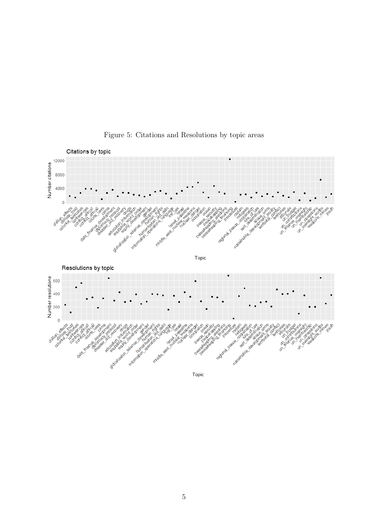<span id="page-5-0"></span>

Figure 5: Citations and Resolutions by topic areas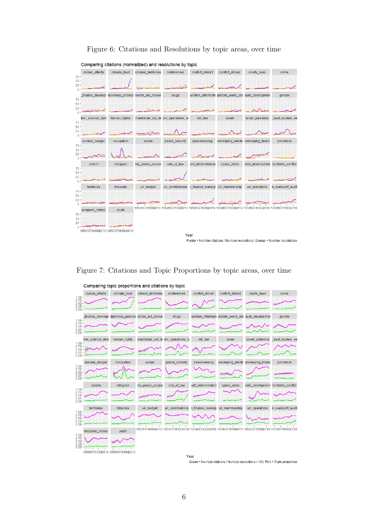Figure 6: Citations and Resolutions by topic areas, over time

<span id="page-6-0"></span>

| Comparing citations (normalized) and resolutions by topic |                                                                                     |              |                                                                     |                  |                    |                                                         |                                      |                      |  |  |
|-----------------------------------------------------------|-------------------------------------------------------------------------------------|--------------|---------------------------------------------------------------------|------------------|--------------------|---------------------------------------------------------|--------------------------------------|----------------------|--|--|
|                                                           | civilian effects                                                                    | climate food | colonial_territories                                                | conferences      | conflict_africa1   | conflict_africa2                                        | courts laws                          | crime                |  |  |
| $75 -$<br>$50 -$                                          |                                                                                     |              |                                                                     |                  |                    |                                                         |                                      |                      |  |  |
| $25 -$<br>0 <sup>1</sup>                                  |                                                                                     |              |                                                                     |                  |                    |                                                         |                                      |                      |  |  |
| $75 -$                                                    | finance developr                                                                    |              | liplomacy_protoco saster_aid_recove                                 | drugs            |                    | ucation_informatic juitable_world_ord :quity_developmen |                                      | gender               |  |  |
| $50 -$                                                    |                                                                                     |              |                                                                     |                  |                    |                                                         |                                      |                      |  |  |
| $25 -$<br>$0 -$                                           |                                                                                     |              |                                                                     |                  |                    |                                                         |                                      |                      |  |  |
|                                                           | tion_science_deve                                                                   | human_rights | manitarian_aid_de_ion_operations_la                                 |                  | intl_law           | israel                                                  | israel_palestine                     | east_nuclear_we      |  |  |
| $75 -$<br>$50 -$                                          |                                                                                     |              |                                                                     |                  |                    |                                                         |                                      |                      |  |  |
| $25 -$<br>$\Omega$                                        |                                                                                     |              |                                                                     |                  |                    |                                                         |                                      |                      |  |  |
|                                                           | nuclear_danger                                                                      | occupation   | ocean                                                               | peace_security   | peacekeeping       |                                                         | icekeeping_electic icekeeping_financ | procedure            |  |  |
| $75 -$<br>$50 -$                                          |                                                                                     |              |                                                                     |                  |                    |                                                         |                                      |                      |  |  |
| $25 -$<br>$0 -$                                           |                                                                                     |              |                                                                     |                  |                    |                                                         |                                      |                      |  |  |
|                                                           | racism                                                                              | refugees     | nal_peace_cooper                                                    | rule_of_law      | self_determination | space_arms                                              | able_development                     | territorial_conflict |  |  |
| $75 -$<br>$50 -$                                          |                                                                                     |              |                                                                     |                  |                    |                                                         |                                      |                      |  |  |
| $25 -$<br>$0 -$                                           |                                                                                     |              |                                                                     |                  |                    |                                                         |                                      |                      |  |  |
|                                                           | territories                                                                         | tribunals    | un_budget                                                           | un_contributions | 1 finance oversigl | un_membership                                           | un_operations                        | n_oversight_audit    |  |  |
| $75 -$<br>$50 -$                                          |                                                                                     |              |                                                                     |                  |                    |                                                         |                                      |                      |  |  |
| $25 -$                                                    |                                                                                     |              |                                                                     |                  |                    |                                                         |                                      |                      |  |  |
| $\Omega$                                                  |                                                                                     |              | 1950197019902010 1950197019902010 1950197019902010 1950197019902010 |                  |                    |                                                         | 1950197019902010 1950197019902010    |                      |  |  |
| $75 -$                                                    | weapons_mines                                                                       | youth        |                                                                     |                  |                    |                                                         |                                      |                      |  |  |
| $50 -$                                                    |                                                                                     |              |                                                                     |                  |                    |                                                         |                                      |                      |  |  |
| $25 -$<br>$0 -$                                           |                                                                                     |              |                                                                     |                  |                    |                                                         |                                      |                      |  |  |
|                                                           | 1950197019902010 1950197019902010                                                   |              |                                                                     |                  |                    |                                                         |                                      |                      |  |  |
|                                                           | Year<br>Purple = Number citations / Number resolutions, Orange = Number resolutions |              |                                                                     |                  |                    |                                                         |                                      |                      |  |  |

<span id="page-6-1"></span>Figure 7: Citations and Topic Proportions by topic areas, over time



Year Green = Number citations / Number resolutions / 100, Pink = Topic proportion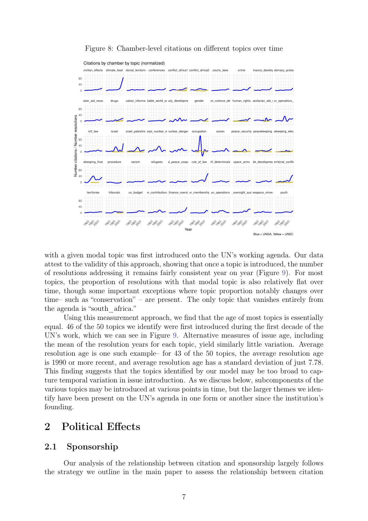<span id="page-7-2"></span>

Figure 8: Chamber-level citations on different topics over time

with a given modal topic was first introduced onto the UN's working agenda. Our data attest to the validity of this approach, showing that once a topic is introduced, the number of resolutions addressing it remains fairly consistent year on year (Figure [9\)](#page-8-0). For most topics, the proportion of resolutions with that modal topic is also relatively flat over time, though some important exceptions where topic proportion notably changes over time– such as "conservation" – are present. The only topic that vanishes entirely from the agenda is "south\_africa."

Using this measurement approach, we find that the age of most topics is essentially equal. 46 of the 50 topics we identify were first introduced during the first decade of the UN's work, which we can see in Figure [9.](#page-8-0) Alternative measures of issue age, including the mean of the resolution years for each topic, yield similarly little variation. Average resolution age is one such example– for 43 of the 50 topics, the average resolution age is 1990 or more recent, and average resolution age has a standard deviation of just 7.78. This finding suggests that the topics identified by our model may be too broad to capture temporal variation in issue introduction. As we discuss below, subcomponents of the various topics may be introduced at various points in time, but the larger themes we identify have been present on the UN's agenda in one form or another since the institution's founding.

## <span id="page-7-0"></span>2 Political Effects

#### <span id="page-7-1"></span>2.1 Sponsorship

Our analysis of the relationship between citation and sponsorship largely follows the strategy we outline in the main paper to assess the relationship between citation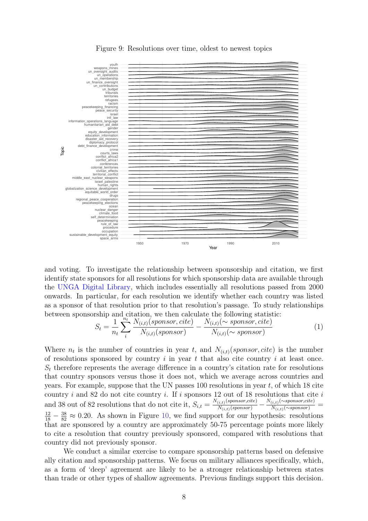<span id="page-8-0"></span>

Figure 9: Resolutions over time, oldest to newest topics

and voting. To investigate the relationship between sponsorship and citation, we first identify state sponsors for all resolutions for which sponsorship data are available through the [UNGA Digital Library,](https://digitallibrary.un.org/) which includes essentially all resolutions passed from 2000 onwards. In particular, for each resolution we identify whether each country was listed as a sponsor of that resolution prior to that resolution's passage. To study relationships between sponsorship and citation, we then calculate the following statistic:

$$
S_t = \frac{1}{n_t} \sum_{i}^{n_t} \frac{N_{(i,t)}(sponsor, cite)}{N_{(i,t)}(sponsor)} - \frac{N_{(i,t)}(\sim sponsor, cite)}{N_{(i,t)}(\sim sponsor)}
$$
(1)

Where  $n_t$  is the number of countries in year t, and  $N_{(i,t)}(sponsor, cite)$  is the number of resolutions sponsored by country  $i$  in year  $t$  that also cite country  $i$  at least once.  $S_t$  therefore represents the average difference in a country's citation rate for resolutions that country sponsors versus those it does not, which we average across countries and years. For example, suppose that the UN passes  $100$  resolutions in year t, of which 18 cite country  $i$  and 82 do not cite country  $i$ . If  $i$  sponsors 12 out of 18 resolutions that cite  $i$ and 38 out of 82 resolutions that do not cite it,  $S_{i,t} = \frac{N_{(i,t)}(sponsor,cite)}{N_{(i,t)}(sponsor)}$  $\frac{N_{(i,t)}(sponsor,cite)}{N_{(i,t)}(sponsor)} - \frac{N_{(i,t)}(\sim sponsor,cite)}{N_{(i,t)}(\sim sponsor)}$  $\frac{\binom{(i,t)}{\infty}$ sponsor,cue) =  $\frac{12}{18} - \frac{38}{82} \approx 0.20$ . As shown in Figure [10,](#page-9-1) we find support for our hypothesis: resolutions that are sponsored by a country are approximately 50-75 percentage points more likely to cite a resolution that country previously sponsored, compared with resolutions that country did not previously sponsor.

We conduct a similar exercise to compare sponsorship patterns based on defensive ally citation and sponsorship patterns. We focus on military alliances specifically, which, as a form of 'deep' agreement are likely to be a stronger relationship between states than trade or other types of shallow agreements. Previous findings support this decision.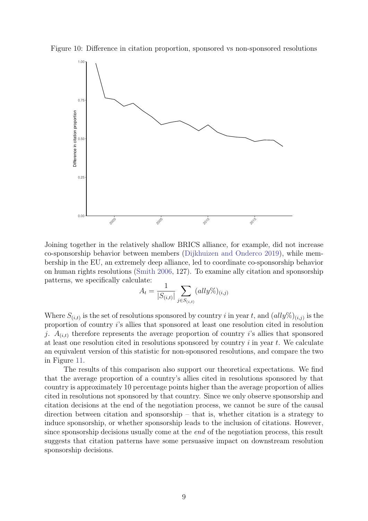<span id="page-9-1"></span>Figure 10: Difference in citation proportion, sponsored vs non-sponsored resolutions



Joining together in the relatively shallow BRICS alliance, for example, did not increase co-sponsorship behavior between members [\(Dijkhuizen and Onderco](#page-12-2) [2019\)](#page-12-2), while membership in the EU, an extremely deep alliance, led to coordinate co-sponsorship behavior on human rights resolutions [\(Smith](#page-12-3) [2006,](#page-12-3) 127). To examine ally citation and sponsorship patterns, we specifically calculate:

$$
A_t = \frac{1}{|S_{(i,t)}|} \sum_{j \in S_{(i,t)}} (ally\%)_{(i,j)}
$$

Where  $S_{(i,t)}$  is the set of resolutions sponsored by country i in year t, and  $(ally\%)_{(i,j)}$  is the proportion of country i's allies that sponsored at least one resolution cited in resolution j.  $A_{(i,t)}$  therefore represents the average proportion of country i's allies that sponsored at least one resolution cited in resolutions sponsored by country  $i$  in year  $t$ . We calculate an equivalent version of this statistic for non-sponsored resolutions, and compare the two in Figure [11.](#page-10-0)

<span id="page-9-0"></span>The results of this comparison also support our theoretical expectations. We find that the average proportion of a country's allies cited in resolutions sponsored by that country is approximately 10 percentage points higher than the average proportion of allies cited in resolutions not sponsored by that country. Since we only observe sponsorship and citation decisions at the end of the negotiation process, we cannot be sure of the causal direction between citation and sponsorship – that is, whether citation is a strategy to induce sponsorship, or whether sponsorship leads to the inclusion of citations. However, since sponsorship decisions usually come at the *end* of the negotiation process, this result suggests that citation patterns have some persuasive impact on downstream resolution sponsorship decisions.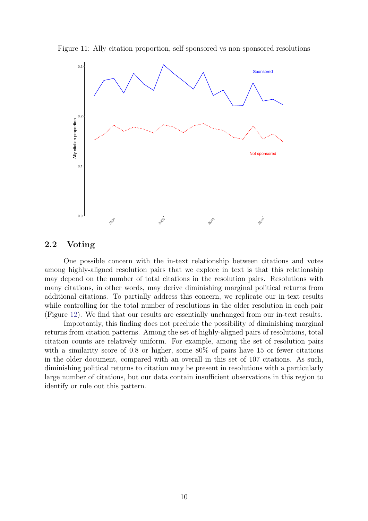<span id="page-10-0"></span>Figure 11: Ally citation proportion, self-sponsored vs non-sponsored resolutions



#### 2.2 Voting

One possible concern with the in-text relationship between citations and votes among highly-aligned resolution pairs that we explore in text is that this relationship may depend on the number of total citations in the resolution pairs. Resolutions with many citations, in other words, may derive diminishing marginal political returns from additional citations. To partially address this concern, we replicate our in-text results while controlling for the total number of resolutions in the older resolution in each pair (Figure [12\)](#page-11-0). We find that our results are essentially unchanged from our in-text results.

Importantly, this finding does not preclude the possibility of diminishing marginal returns from citation patterns. Among the set of highly-aligned pairs of resolutions, total citation counts are relatively uniform. For example, among the set of resolution pairs with a similarity score of 0.8 or higher, some  $80\%$  of pairs have 15 or fewer citations in the older document, compared with an overall in this set of 107 citations. As such, diminishing political returns to citation may be present in resolutions with a particularly large number of citations, but our data contain insufficient observations in this region to identify or rule out this pattern.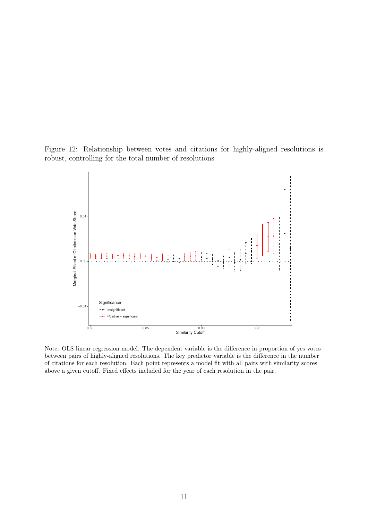<span id="page-11-0"></span>Figure 12: Relationship between votes and citations for highly-aligned resolutions is robust, controlling for the total number of resolutions



Note: OLS linear regression model. The dependent variable is the difference in proportion of yes votes between pairs of highly-aligned resolutions. The key predictor variable is the difference in the number of citations for each resolution. Each point represents a model fit with all pairs with similarity scores above a given cutoff. Fixed effects included for the year of each resolution in the pair.